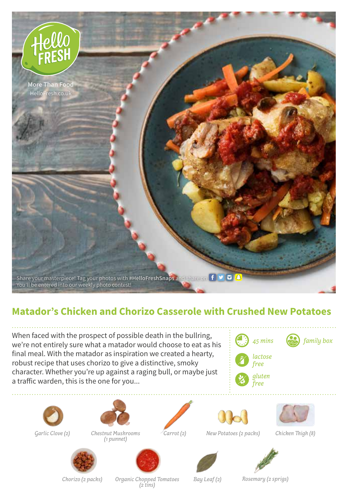

## **Matador's Chicken and Chorizo Casserole with Crushed New Potatoes**

When faced with the prospect of possible death in the bullring, we're not entirely sure what a matador would choose to eat as his final meal. With the matador as inspiration we created a hearty, robust recipe that uses chorizo to give a distinctive, smoky character. Whether you're up against a raging bull, or maybe just a traffic warden, this is the one for you...



*45 mins family box*





*gluten free*





*Garlic Clove (2) Chestnut Mushrooms Carrot (2)*



*(1 punnet)*







*New Potatoes (2 packs) Chicken Thigh (8)*











*Chorizo (2 packs) Organic Chopped Tomatoes*

*(2 tins) Bay Leaf (2) Rosemary (2 sprigs)*